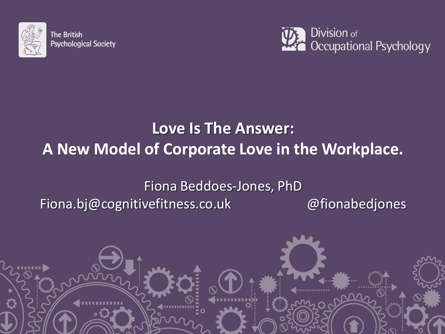

**The British Psychological Society** 



### **Love Is The Answer: A New Model of Corporate Love in the Workplace.**

### Fiona Beddoes-Jones, PhD Fiona.bj@cognitivefitness.co.uk @fionabedjones

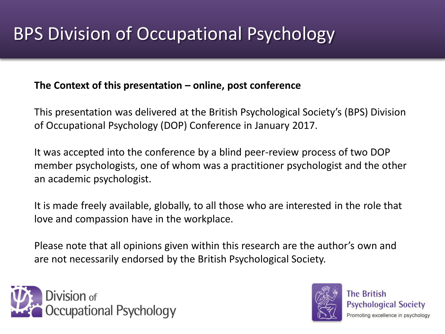#### **The Context of this presentation – online, post conference**

This presentation was delivered at the British Psychological Society's (BPS) Division of Occupational Psychology (DOP) Conference in January 2017.

It was accepted into the conference by a blind peer-review process of two DOP member psychologists, one of whom was a practitioner psychologist and the other an academic psychologist.

It is made freely available, globally, to all those who are interested in the role that love and compassion have in the workplace.

Please note that all opinions given within this research are the author's own and are not necessarily endorsed by the British Psychological Society.



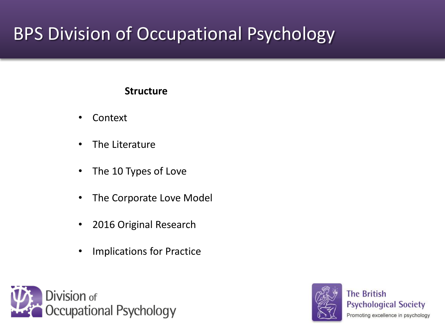#### **Structure**

- Context
- The Literature
- The 10 Types of Love
- The Corporate Love Model
- 2016 Original Research
- Implications for Practice



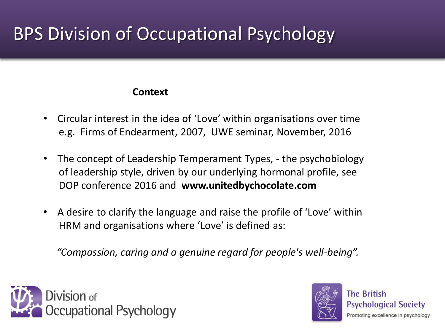#### **Context**

- Circular interest in the idea of 'Love' within organisations over time e.g. Firms of Endearment, 2007, UWE seminar, November, 2016
- The concept of Leadership Temperament Types, the psychobiology of leadership style, driven by our underlying hormonal profile, see DOP conference 2016 and **www.unitedbychocolate.com**
- A desire to clarify the language and raise the profile of 'Love' within HRM and organisations where 'Love' is defined as:

*"Compassion, caring and a genuine regard for people's well-being".*



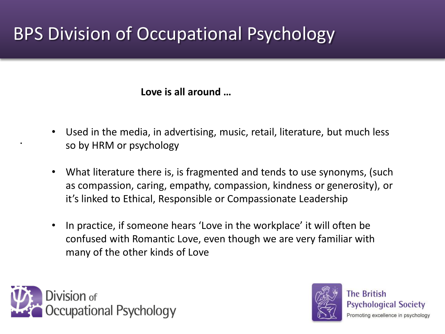**Love is all around …**

- Used in the media, in advertising, music, retail, literature, but much less so by HRM or psychology
- What literature there is, is fragmented and tends to use synonyms, (such as compassion, caring, empathy, compassion, kindness or generosity), or it's linked to Ethical, Responsible or Compassionate Leadership
- In practice, if someone hears 'Love in the workplace' it will often be confused with Romantic Love, even though we are very familiar with many of the other kinds of Love



•

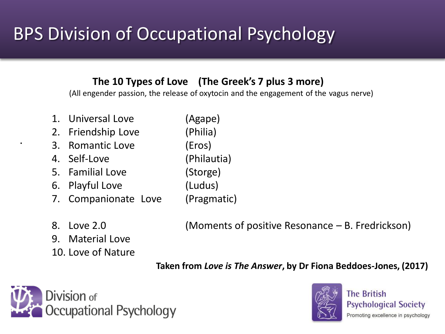#### **The 10 Types of Love (The Greek's 7 plus 3 more)**

(All engender passion, the release of oxytocin and the engagement of the vagus nerve)

- 1. Universal Love (Agape)
- 2. Friendship Love (Philia)
- 3. Romantic Love (Eros)
- 4. Self-Love (Philautia)
- 5. Familial Love (Storge)
- 6. Playful Love (Ludus)
- 7. Companionate Love (Pragmatic)
- 

•

- 9. Material Love
- 10. Love of Nature

8. Love 2.0 (Moments of positive Resonance – B. Fredrickson)

**Taken from** *Love is The Answer***, by Dr Fiona Beddoes-Jones, (2017)**



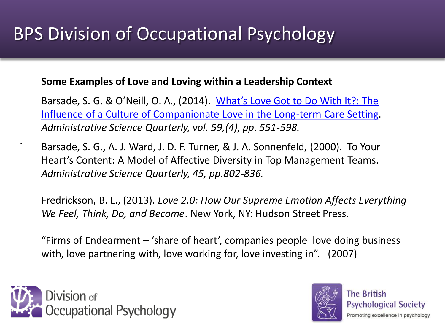#### **Some Examples of Love and Loving within a Leadership Context**

Barsade, S. G. & O'Neill, O. A., (2014). [What's Love Got to Do With It?: The](http://mgmt.wharton.upenn.edu/?LinkServID=1CCA2143-EBC7-4D12-A47F360C2FF68CBC)  [Influence of a Culture of Companionate Love in the Long-term Care Setting](http://mgmt.wharton.upenn.edu/?LinkServID=1CCA2143-EBC7-4D12-A47F360C2FF68CBC). *Administrative Science Quarterly, vol. 59,(4), pp. 551-598.*

Barsade, S. G., A. J. Ward, J. D. F. Turner, & J. A. Sonnenfeld, (2000). To Your Heart's Content: A Model of Affective Diversity in Top Management Teams. *Administrative Science Quarterly, 45, pp.802-836.*

Fredrickson, B. L., (2013). *Love 2.0: How Our Supreme Emotion Affects Everything We Feel, Think, Do, and Become*. New York, NY: Hudson Street Press.

"Firms of Endearment – 'share of heart', companies people love doing business with, love partnering with, love working for, love investing in". (2007)



•

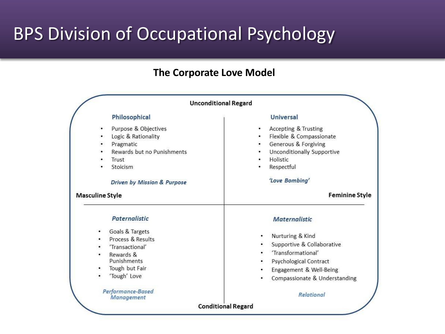#### **The Corporate Love Model**

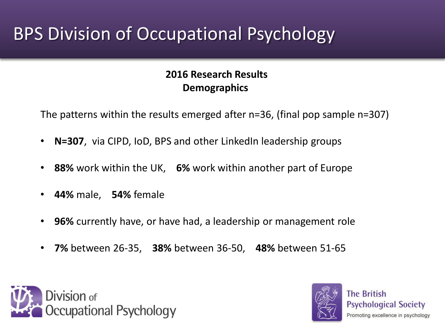#### **2016 Research Results Demographics**

The patterns within the results emerged after n=36, (final pop sample n=307)

- **N=307**, via CIPD, IoD, BPS and other LinkedIn leadership groups
- **88%** work within the UK, **6%** work within another part of Europe
- **44%** male, **54%** female
- **96%** currently have, or have had, a leadership or management role
- **7%** between 26-35, **38%** between 36-50, **48%** between 51-65



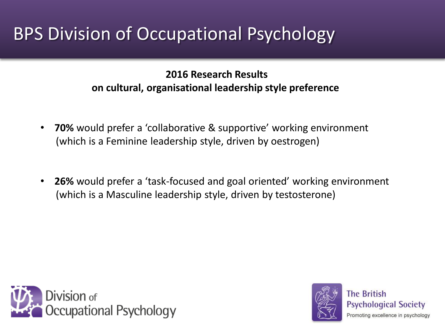**2016 Research Results on cultural, organisational leadership style preference** 

- **70%** would prefer a 'collaborative & supportive' working environment (which is a Feminine leadership style, driven by oestrogen)
- **26%** would prefer a 'task-focused and goal oriented' working environment (which is a Masculine leadership style, driven by testosterone)



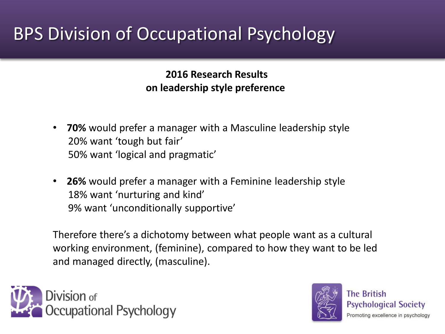**2016 Research Results on leadership style preference** 

- **70%** would prefer a manager with a Masculine leadership style 20% want 'tough but fair' 50% want 'logical and pragmatic'
- **26%** would prefer a manager with a Feminine leadership style 18% want 'nurturing and kind' 9% want 'unconditionally supportive'

Therefore there's a dichotomy between what people want as a cultural working environment, (feminine), compared to how they want to be led and managed directly, (masculine).



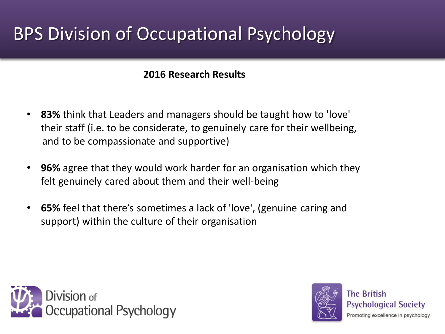#### **2016 Research Results**

- **83%** think that Leaders and managers should be taught how to 'love' their staff (i.e. to be considerate, to genuinely care for their wellbeing, and to be compassionate and supportive)
- **96%** agree that they would work harder for an organisation which they felt genuinely cared about them and their well-being
- **65%** feel that there's sometimes a lack of 'love', (genuine caring and support) within the culture of their organisation



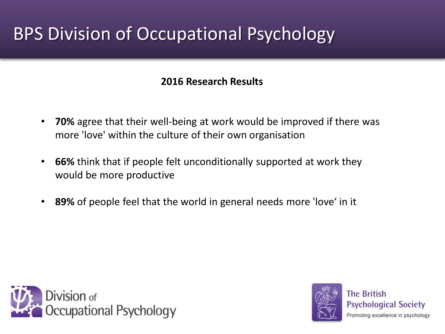#### **2016 Research Results**

- **70%** agree that their well-being at work would be improved if there was more 'love' within the culture of their own organisation
- **66%** think that if people felt unconditionally supported at work they would be more productive
- **89%** of people feel that the world in general needs more 'love' in it



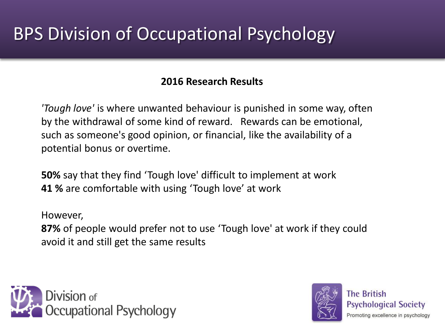#### **2016 Research Results**

*'Tough love'* is where unwanted behaviour is punished in some way, often by the withdrawal of some kind of reward. Rewards can be emotional, such as someone's good opinion, or financial, like the availability of a potential bonus or overtime.

**50%** say that they find 'Tough love' difficult to implement at work **41 %** are comfortable with using 'Tough love' at work

However, **87%** of people would prefer not to use 'Tough love' at work if they could avoid it and still get the same results



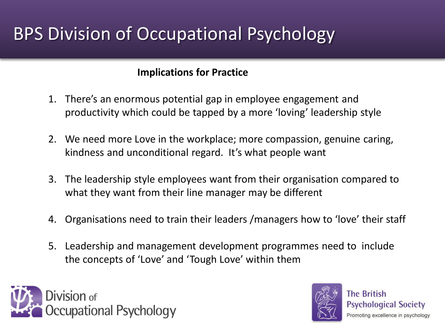#### **Implications for Practice**

- 1. There's an enormous potential gap in employee engagement and productivity which could be tapped by a more 'loving' leadership style
- 2. We need more Love in the workplace; more compassion, genuine caring, kindness and unconditional regard. It's what people want
- 3. The leadership style employees want from their organisation compared to what they want from their line manager may be different
- 4. Organisations need to train their leaders /managers how to 'love' their staff
- 5. Leadership and management development programmes need to include the concepts of 'Love' and 'Tough Love' within them